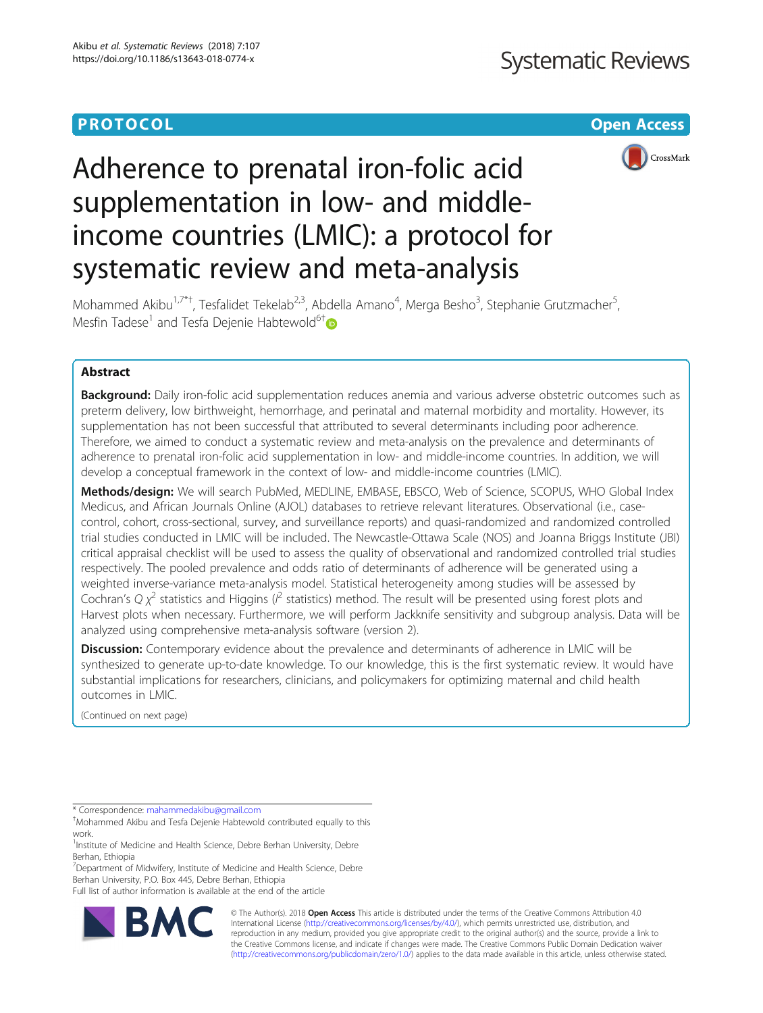# **PROTOCOL CONSUMING THE CONSUMING TEACHER CONSUMING THE CONSUMING TEACHER CONSUMING THE CONSUMING TEACHER CONSUMING**



# Adherence to prenatal iron-folic acid supplementation in low- and middleincome countries (LMIC): a protocol for systematic review and meta-analysis

Mohammed Akibu<sup>1,7\*†</sup>, Tesfalidet Tekelab<sup>2,3</sup>, Abdella Amano<sup>4</sup>, Merga Besho<sup>3</sup>, Stephanie Grutzmacher<sup>5</sup> , Mesfin Tadese<sup>1</sup> and Tesfa Dejenie Habtewold<sup>6[†](http://orcid.org/0000-0003-4476-518X)</sup>

## Abstract

**Background:** Daily iron-folic acid supplementation reduces anemia and various adverse obstetric outcomes such as preterm delivery, low birthweight, hemorrhage, and perinatal and maternal morbidity and mortality. However, its supplementation has not been successful that attributed to several determinants including poor adherence. Therefore, we aimed to conduct a systematic review and meta-analysis on the prevalence and determinants of adherence to prenatal iron-folic acid supplementation in low- and middle-income countries. In addition, we will develop a conceptual framework in the context of low- and middle-income countries (LMIC).

Methods/design: We will search PubMed, MEDLINE, EMBASE, EBSCO, Web of Science, SCOPUS, WHO Global Index Medicus, and African Journals Online (AJOL) databases to retrieve relevant literatures. Observational (i.e., casecontrol, cohort, cross-sectional, survey, and surveillance reports) and quasi-randomized and randomized controlled trial studies conducted in LMIC will be included. The Newcastle-Ottawa Scale (NOS) and Joanna Briggs Institute (JBI) critical appraisal checklist will be used to assess the quality of observational and randomized controlled trial studies respectively. The pooled prevalence and odds ratio of determinants of adherence will be generated using a weighted inverse-variance meta-analysis model. Statistical heterogeneity among studies will be assessed by Cochran's Q  $\chi^2$  statistics and Higgins ( $l^2$  statistics) method. The result will be presented using forest plots and Harvest plots when necessary. Furthermore, we will perform Jackknife sensitivity and subgroup analysis. Data will be analyzed using comprehensive meta-analysis software (version 2).

Discussion: Contemporary evidence about the prevalence and determinants of adherence in LMIC will be synthesized to generate up-to-date knowledge. To our knowledge, this is the first systematic review. It would have substantial implications for researchers, clinicians, and policymakers for optimizing maternal and child health outcomes in LMIC.

(Continued on next page)

\* Correspondence: [mahammedakibu@gmail.com](mailto:mahammedakibu@gmail.com) †

<sup>7</sup>Department of Midwifery, Institute of Medicine and Health Science, Debre Berhan University, P.O. Box 445, Debre Berhan, Ethiopia

Full list of author information is available at the end of the article



© The Author(s). 2018 Open Access This article is distributed under the terms of the Creative Commons Attribution 4.0 International License [\(http://creativecommons.org/licenses/by/4.0/](http://creativecommons.org/licenses/by/4.0/)), which permits unrestricted use, distribution, and reproduction in any medium, provided you give appropriate credit to the original author(s) and the source, provide a link to the Creative Commons license, and indicate if changes were made. The Creative Commons Public Domain Dedication waiver [\(http://creativecommons.org/publicdomain/zero/1.0/](http://creativecommons.org/publicdomain/zero/1.0/)) applies to the data made available in this article, unless otherwise stated.

Mohammed Akibu and Tesfa Dejenie Habtewold contributed equally to this work.

<sup>&</sup>lt;sup>1</sup>Institute of Medicine and Health Science, Debre Berhan University, Debre Berhan, Ethiopia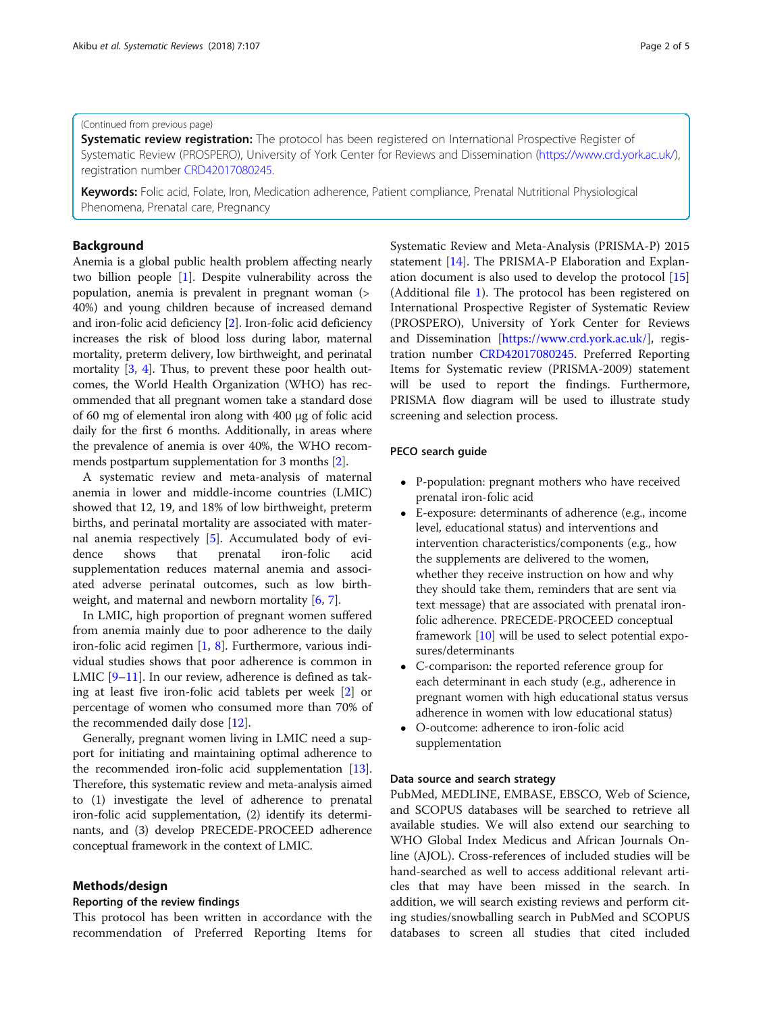#### (Continued from previous page)

Systematic review registration: The protocol has been registered on International Prospective Register of Systematic Review (PROSPERO), University of York Center for Reviews and Dissemination ([https://www.crd.york.ac.uk/\)](https://www.crd.york.ac.uk/PROSPERO), registration number [CRD42017080245](http://www.crd.york.ac.uk/PROSPERO/display_record.php?ID=CRD42017080245).

Keywords: Folic acid, Folate, Iron, Medication adherence, Patient compliance, Prenatal Nutritional Physiological Phenomena, Prenatal care, Pregnancy

#### Background

Anemia is a global public health problem affecting nearly two billion people [\[1](#page-3-0)]. Despite vulnerability across the population, anemia is prevalent in pregnant woman (> 40%) and young children because of increased demand and iron-folic acid deficiency [[2](#page-3-0)]. Iron-folic acid deficiency increases the risk of blood loss during labor, maternal mortality, preterm delivery, low birthweight, and perinatal mortality [\[3,](#page-3-0) [4\]](#page-4-0). Thus, to prevent these poor health outcomes, the World Health Organization (WHO) has recommended that all pregnant women take a standard dose of 60 mg of elemental iron along with 400 μg of folic acid daily for the first 6 months. Additionally, in areas where the prevalence of anemia is over 40%, the WHO recommends postpartum supplementation for 3 months [\[2\]](#page-3-0).

A systematic review and meta-analysis of maternal anemia in lower and middle-income countries (LMIC) showed that 12, 19, and 18% of low birthweight, preterm births, and perinatal mortality are associated with maternal anemia respectively [[5\]](#page-4-0). Accumulated body of evidence shows that prenatal iron-folic acid supplementation reduces maternal anemia and associated adverse perinatal outcomes, such as low birth-weight, and maternal and newborn mortality [\[6](#page-4-0), [7](#page-4-0)].

In LMIC, high proportion of pregnant women suffered from anemia mainly due to poor adherence to the daily iron-folic acid regimen [\[1](#page-3-0), [8\]](#page-4-0). Furthermore, various individual studies shows that poor adherence is common in LMIC [\[9](#page-4-0)–[11](#page-4-0)]. In our review, adherence is defined as taking at least five iron-folic acid tablets per week [\[2\]](#page-3-0) or percentage of women who consumed more than 70% of the recommended daily dose [[12\]](#page-4-0).

Generally, pregnant women living in LMIC need a support for initiating and maintaining optimal adherence to the recommended iron-folic acid supplementation [[13](#page-4-0)]. Therefore, this systematic review and meta-analysis aimed to (1) investigate the level of adherence to prenatal iron-folic acid supplementation, (2) identify its determinants, and (3) develop PRECEDE-PROCEED adherence conceptual framework in the context of LMIC.

#### Methods/design

#### Reporting of the review findings

This protocol has been written in accordance with the recommendation of Preferred Reporting Items for Systematic Review and Meta-Analysis (PRISMA-P) 2015 statement [\[14](#page-4-0)]. The PRISMA-P Elaboration and Explanation document is also used to develop the protocol [[15](#page-4-0)] (Additional file 1). The protocol has been registered on International Prospective Register of Systematic Review (PROSPERO), University of York Center for Reviews and Dissemination [[https://www.crd.york.ac.uk/](https://www.crd.york.ac.uk/PROSPERO)], registration number [CRD42017080245](http://www.crd.york.ac.uk/PROSPERO/display_record.php?ID=CRD42017080245). Preferred Reporting Items for Systematic review (PRISMA-2009) statement will be used to report the findings. Furthermore, PRISMA flow diagram will be used to illustrate study screening and selection process.

#### PECO search guide

- P-population: pregnant mothers who have received prenatal iron-folic acid
- E-exposure: determinants of adherence (e.g., income level, educational status) and interventions and intervention characteristics/components (e.g., how the supplements are delivered to the women, whether they receive instruction on how and why they should take them, reminders that are sent via text message) that are associated with prenatal ironfolic adherence. PRECEDE-PROCEED conceptual framework [\[10\]](#page-4-0) will be used to select potential exposures/determinants
- C-comparison: the reported reference group for each determinant in each study (e.g., adherence in pregnant women with high educational status versus adherence in women with low educational status)
- O-outcome: adherence to iron-folic acid supplementation

#### Data source and search strategy

PubMed, MEDLINE, EMBASE, EBSCO, Web of Science, and SCOPUS databases will be searched to retrieve all available studies. We will also extend our searching to WHO Global Index Medicus and African Journals Online (AJOL). Cross-references of included studies will be hand-searched as well to access additional relevant articles that may have been missed in the search. In addition, we will search existing reviews and perform citing studies/snowballing search in PubMed and SCOPUS databases to screen all studies that cited included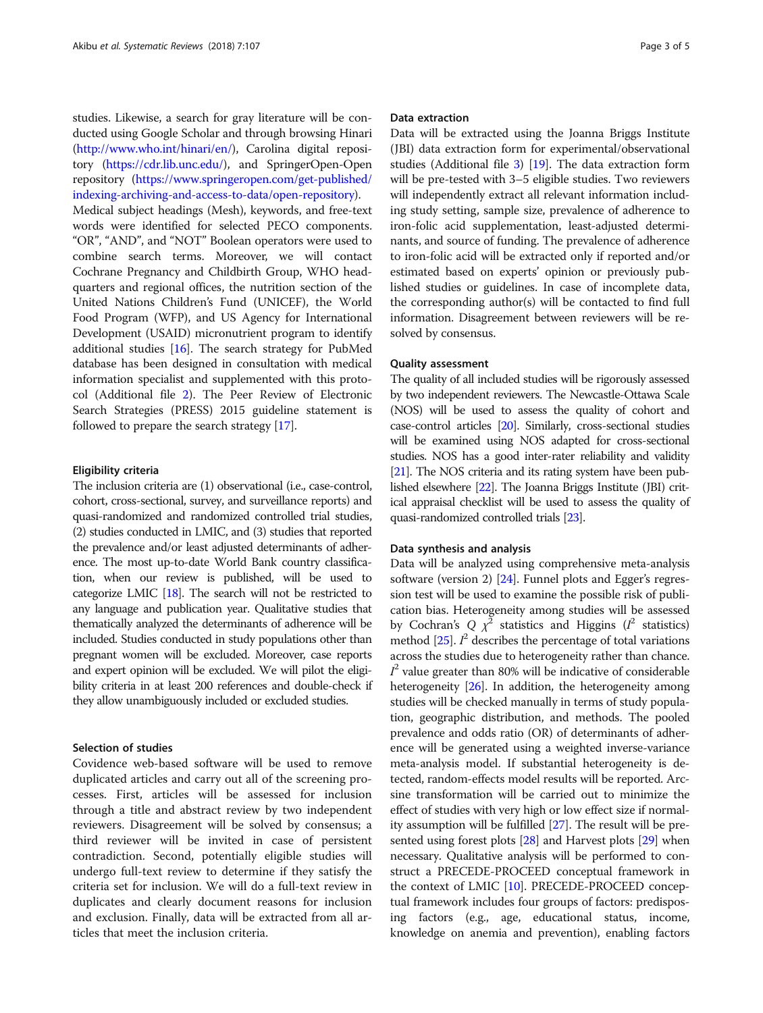studies. Likewise, a search for gray literature will be conducted using Google Scholar and through browsing Hinari (<http://www.who.int/hinari/en/>), Carolina digital repository (<https://cdr.lib.unc.edu/>), and SpringerOpen-Open repository ([https://www.springeropen.com/get-published/](https://www.springeropen.com/get-published/indexing-archiving-and-access-to-data/open-repository) [indexing-archiving-and-access-to-data/open-repository\)](https://www.springeropen.com/get-published/indexing-archiving-and-access-to-data/open-repository).

Medical subject headings (Mesh), keywords, and free-text words were identified for selected PECO components. "OR", "AND", and "NOT" Boolean operators were used to combine search terms. Moreover, we will contact Cochrane Pregnancy and Childbirth Group, WHO headquarters and regional offices, the nutrition section of the United Nations Children's Fund (UNICEF), the World Food Program (WFP), and US Agency for International Development (USAID) micronutrient program to identify additional studies [[16](#page-4-0)]. The search strategy for PubMed database has been designed in consultation with medical information specialist and supplemented with this protocol (Additional file 2). The Peer Review of Electronic Search Strategies (PRESS) 2015 guideline statement is followed to prepare the search strategy [\[17\]](#page-4-0).

#### Eligibility criteria

The inclusion criteria are (1) observational (i.e., case-control, cohort, cross-sectional, survey, and surveillance reports) and quasi-randomized and randomized controlled trial studies, (2) studies conducted in LMIC, and (3) studies that reported the prevalence and/or least adjusted determinants of adherence. The most up-to-date World Bank country classification, when our review is published, will be used to categorize LMIC [[18](#page-4-0)]. The search will not be restricted to any language and publication year. Qualitative studies that thematically analyzed the determinants of adherence will be included. Studies conducted in study populations other than pregnant women will be excluded. Moreover, case reports and expert opinion will be excluded. We will pilot the eligibility criteria in at least 200 references and double-check if they allow unambiguously included or excluded studies.

#### Selection of studies

Covidence web-based software will be used to remove duplicated articles and carry out all of the screening processes. First, articles will be assessed for inclusion through a title and abstract review by two independent reviewers. Disagreement will be solved by consensus; a third reviewer will be invited in case of persistent contradiction. Second, potentially eligible studies will undergo full-text review to determine if they satisfy the criteria set for inclusion. We will do a full-text review in duplicates and clearly document reasons for inclusion and exclusion. Finally, data will be extracted from all articles that meet the inclusion criteria.

#### Data extraction

Data will be extracted using the Joanna Briggs Institute (JBI) data extraction form for experimental/observational studies (Additional file 3) [\[19\]](#page-4-0). The data extraction form will be pre-tested with 3–5 eligible studies. Two reviewers will independently extract all relevant information including study setting, sample size, prevalence of adherence to iron-folic acid supplementation, least-adjusted determinants, and source of funding. The prevalence of adherence to iron-folic acid will be extracted only if reported and/or estimated based on experts' opinion or previously published studies or guidelines. In case of incomplete data, the corresponding author(s) will be contacted to find full information. Disagreement between reviewers will be resolved by consensus.

#### Quality assessment

The quality of all included studies will be rigorously assessed by two independent reviewers. The Newcastle-Ottawa Scale (NOS) will be used to assess the quality of cohort and case-control articles [\[20\]](#page-4-0). Similarly, cross-sectional studies will be examined using NOS adapted for cross-sectional studies. NOS has a good inter-rater reliability and validity [[21\]](#page-4-0). The NOS criteria and its rating system have been published elsewhere [\[22](#page-4-0)]. The Joanna Briggs Institute (JBI) critical appraisal checklist will be used to assess the quality of quasi-randomized controlled trials [[23](#page-4-0)].

#### Data synthesis and analysis

Data will be analyzed using comprehensive meta-analysis software (version 2) [[24](#page-4-0)]. Funnel plots and Egger's regression test will be used to examine the possible risk of publication bias. Heterogeneity among studies will be assessed by Cochran's Q  $\chi^2$  statistics and Higgins ( $I^2$  statistics) method  $[25]$ .  $I^2$  describes the percentage of total variations across the studies due to heterogeneity rather than chance.  $I<sup>2</sup>$  value greater than 80% will be indicative of considerable heterogeneity [[26](#page-4-0)]. In addition, the heterogeneity among studies will be checked manually in terms of study population, geographic distribution, and methods. The pooled prevalence and odds ratio (OR) of determinants of adherence will be generated using a weighted inverse-variance meta-analysis model. If substantial heterogeneity is detected, random-effects model results will be reported. Arcsine transformation will be carried out to minimize the effect of studies with very high or low effect size if normality assumption will be fulfilled [\[27](#page-4-0)]. The result will be presented using forest plots [[28](#page-4-0)] and Harvest plots [\[29\]](#page-4-0) when necessary. Qualitative analysis will be performed to construct a PRECEDE-PROCEED conceptual framework in the context of LMIC [\[10](#page-4-0)]. PRECEDE-PROCEED conceptual framework includes four groups of factors: predisposing factors (e.g., age, educational status, income, knowledge on anemia and prevention), enabling factors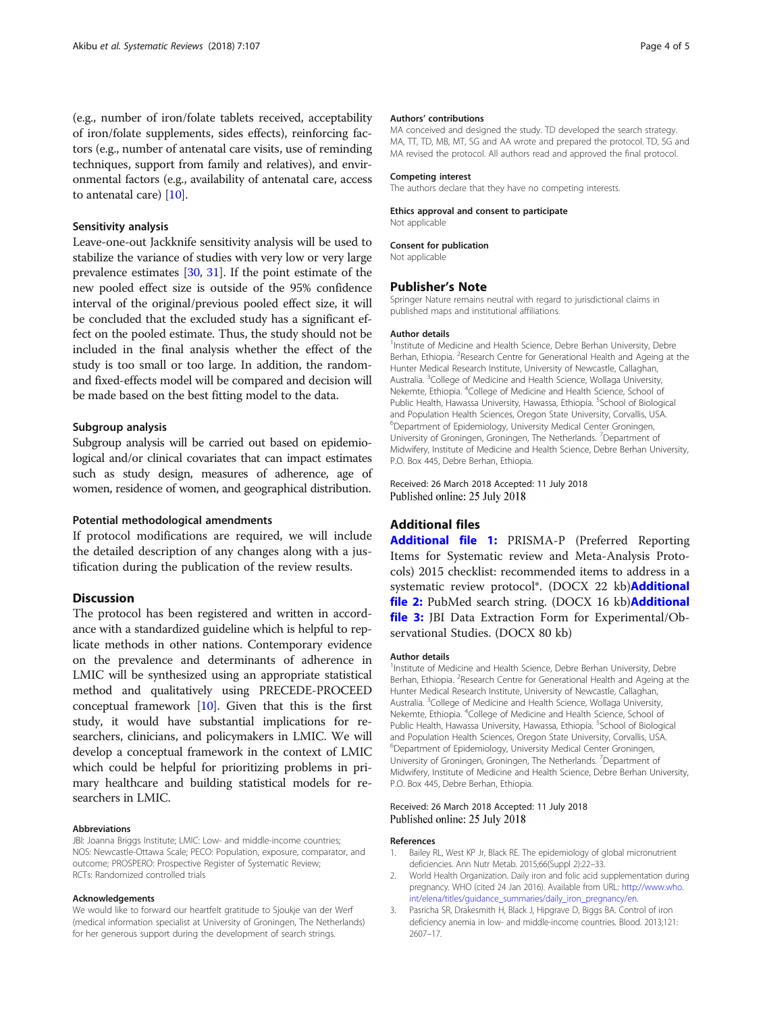#### <span id="page-3-0"></span>Sensitivity analysis

Leave-one-out Jackknife sensitivity analysis will be used to stabilize the variance of studies with very low or very large prevalence estimates [\[30,](#page-4-0) [31](#page-4-0)]. If the point estimate of the new pooled effect size is outside of the 95% confidence interval of the original/previous pooled effect size, it will be concluded that the excluded study has a significant effect on the pooled estimate. Thus, the study should not be included in the final analysis whether the effect of the study is too small or too large. In addition, the randomand fixed-effects model will be compared and decision will be made based on the best fitting model to the data.

#### Subgroup analysis

Subgroup analysis will be carried out based on epidemiological and/or clinical covariates that can impact estimates such as study design, measures of adherence, age of women, residence of women, and geographical distribution.

#### Potential methodological amendments

If protocol modifications are required, we will include the detailed description of any changes along with a justification during the publication of the review results.

#### **Discussion**

The protocol has been registered and written in accordance with a standardized guideline which is helpful to replicate methods in other nations. Contemporary evidence on the prevalence and determinants of adherence in LMIC will be synthesized using an appropriate statistical method and qualitatively using PRECEDE-PROCEED conceptual framework [[10](#page-4-0)]. Given that this is the first study, it would have substantial implications for researchers, clinicians, and policymakers in LMIC. We will develop a conceptual framework in the context of LMIC which could be helpful for prioritizing problems in primary healthcare and building statistical models for researchers in LMIC.

#### Abbreviations

JBI: Joanna Briggs Institute; LMIC: Low- and middle-income countries; NOS: Newcastle-Ottawa Scale; PECO: Population, exposure, comparator, and outcome; PROSPERO: Prospective Register of Systematic Review; RCTs: Randomized controlled trials

#### Acknowledgements

We would like to forward our heartfelt gratitude to Sjoukje van der Werf (medical information specialist at University of Groningen, The Netherlands) for her generous support during the development of search strings.

#### Authors' contributions

MA conceived and designed the study. TD developed the search strategy. MA, TT, TD, MB, MT, SG and AA wrote and prepared the protocol. TD, SG and MA revised the protocol. All authors read and approved the final protocol.

#### Competing interest

The authors declare that they have no competing interests.

#### Ethics approval and consent to participate Not applicable

Consent for publication Not applicable

#### Publisher's Note

Springer Nature remains neutral with regard to jurisdictional claims in published maps and institutional affiliations.

#### Author details

<sup>1</sup>Institute of Medicine and Health Science, Debre Berhan University, Debre Berhan, Ethiopia. <sup>2</sup> Research Centre for Generational Health and Ageing at the Hunter Medical Research Institute, University of Newcastle, Callaghan, Australia. <sup>3</sup>College of Medicine and Health Science, Wollaga University, Nekemte, Ethiopia. <sup>4</sup>College of Medicine and Health Science, School of Public Health, Hawassa University, Hawassa, Ethiopia. <sup>5</sup>School of Biological and Population Health Sciences, Oregon State University, Corvallis, USA. 6 Department of Epidemiology, University Medical Center Groningen, University of Groningen, Groningen, The Netherlands. <sup>7</sup>Department of Midwifery, Institute of Medicine and Health Science, Debre Berhan University, P.O. Box 445, Debre Berhan, Ethiopia.

Received: 26 March 2018 Accepted: 11 July 2018 Published online: 25 July 2018

### Additional files

[Additional file 1:](https://doi.org/10.1186/s13643-018-0774-x) PRISMA-P (Preferred Reporting Items for Systematic review and Meta-Analysis Protocols) 2015 checklist: recommended items to address in a systematic review protocol\*. (DOCX 22 kb)[Additional](https://doi.org/10.1186/s13643-018-0774-x) [file 2:](https://doi.org/10.1186/s13643-018-0774-x) PubMed search string. (DOCX 16 kb)[Additional](https://doi.org/10.1186/s13643-018-0774-x) [file 3:](https://doi.org/10.1186/s13643-018-0774-x) JBI Data Extraction Form for Experimental/Observational Studies. (DOCX 80 kb)

#### Author details

<sup>1</sup>Institute of Medicine and Health Science, Debre Berhan University, Debre Berhan, Ethiopia. <sup>2</sup> Research Centre for Generational Health and Ageing at the Hunter Medical Research Institute, University of Newcastle, Callaghan, Australia. <sup>3</sup>College of Medicine and Health Science, Wollaga University Nekemte, Ethiopia. <sup>4</sup>College of Medicine and Health Science, School of Public Health, Hawassa University, Hawassa, Ethiopia. <sup>5</sup>School of Biological and Population Health Sciences, Oregon State University, Corvallis, USA. 6 Department of Epidemiology, University Medical Center Groningen, University of Groningen, Groningen, The Netherlands. <sup>7</sup>Department of Midwifery, Institute of Medicine and Health Science, Debre Berhan University, P.O. Box 445, Debre Berhan, Ethiopia.

#### Received: 26 March 2018 Accepted: 11 July 2018 Published online: 25 July 2018

#### References

- 1. Bailey RL, West KP Jr, Black RE. The epidemiology of global micronutrient deficiencies. Ann Nutr Metab. 2015;66(Suppl 2):22–33.
- 2. World Health Organization. Daily iron and folic acid supplementation during pregnancy. WHO (cited 24 Jan 2016). Available from URL: [http://www.who.](http://www.who.int/elena/titles/guidance_summaries/daily_iron_pregnancy/en) [int/elena/titles/guidance\\_summaries/daily\\_iron\\_pregnancy/en](http://www.who.int/elena/titles/guidance_summaries/daily_iron_pregnancy/en).
- 3. Pasricha SR, Drakesmith H, Black J, Hipgrave D, Biggs BA. Control of iron deficiency anemia in low- and middle-income countries. Blood. 2013;121: 2607–17.